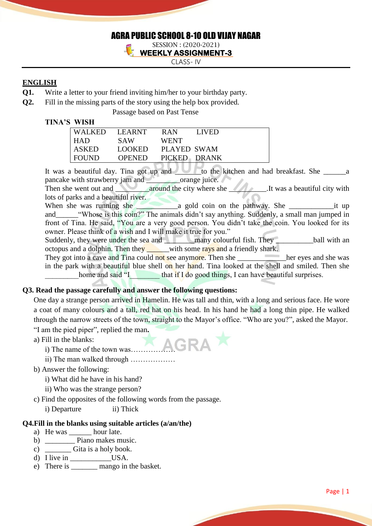# AGRA PUBLIC SCHOOL 8-10 OLD VIJAY NAGAR

SESSION : (2020-2021) **WEEKLY ASSIGNMENT-3** 

CLASS- IV

# **ENGLISH**

- **Q1.** Write a letter to your friend inviting him/her to your birthday party.
- **Q2.** Fill in the missing parts of the story using the help box provided.

Passage based on Past Tense

#### **TINA'S WISH**

| <b>WALKED</b> | LEARNT        | <b>RAN</b><br>LIVED |
|---------------|---------------|---------------------|
| <b>HAD</b>    | SAW           | <b>WENT</b>         |
| <b>ASKED</b>  | LOOKED        | PLAYED SWAM         |
| <b>FOUND</b>  | <b>OPENED</b> | PICKED DRANK        |
|               |               |                     |

It was a beautiful day. Tina got up and **Let up and the kitchen and had breakfast**. She \_\_\_\_\_\_\_a pancake with strawberry jam and orange juice.

Then she went out and **around the city where she** It was a beautiful city with lots of parks and a beautiful river.

When she was running she \_\_\_\_\_\_\_\_\_\_\_a gold coin on the pathway. She \_\_\_\_\_\_\_\_\_\_\_\_it up and\_\_\_\_\_\_"Whose is this coin?" The animals didn't say anything. Suddenly, a small man jumped in front of Tina. He said, "You are a very good person. You didn't take the coin. You looked for its owner. Please think of a wish and I will make it true for you."

Suddenly, they were under the sea and **the many colourful fish. They** ball with an octopus and a dolphin. Then they with some rays and a friendly shark.

They got into a cave and Tina could not see anymore. Then she here we here eyes and she was in the park with a beautiful blue shell on her hand. Tina looked at the shell and smiled. Then she home and said "I\_\_\_\_\_\_\_\_\_\_\_\_\_that if I do good things, I can have beautiful surprises.

### **Q3. Read the passage carefully and answer the following questions:**

One day a strange person arrived in Hamelin. He was tall and thin, with a long and serious face. He wore a coat of many colours and a tall, red hat on his head. In his hand he had a long thin pipe. He walked through the narrow streets of the town, straight to the Mayor's office. "Who are you?", asked the Mayor. "I am the pied piper", replied the man**.**

a) Fill in the blanks:

- 
- i) The name of the town was………………
	- ii) The man walked through ………………
- b) Answer the following:
	- i) What did he have in his hand?
	- ii) Who was the strange person?
- c) Find the opposites of the following words from the passage.
	- i) Departure ii) Thick

### **Q4.Fill in the blanks using suitable articles (a/an/the)**

- a) He was \_\_\_\_\_\_\_ hour late.
- b) <u>Diano</u> makes music.
- c)  $\overline{\phantom{0}}$  Gita is a holy book.
- d) I live in USA.
- e) There is \_\_\_\_\_\_\_ mango in the basket.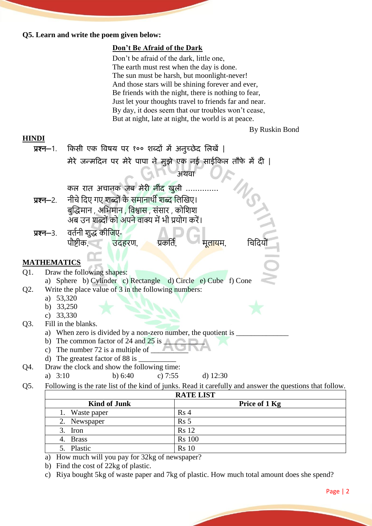#### **Q5. Learn and write the poem given below:**

### **Don't Be Afraid of the Dark**

Don't be afraid of the dark, little one, The earth must rest when the day is done. The sun must be harsh, but moonlight-never! And those stars will be shining forever and ever, Be friends with the night, there is nothing to fear, Just let your thoughts travel to friends far and near. By day, it does seem that our troubles won't cease, But at night, late at night, the world is at peace.

By Ruskin Bond

# **HINDI**

| <b>HINDI</b>                      |                    |                                                                                                                        |  |  |  |
|-----------------------------------|--------------------|------------------------------------------------------------------------------------------------------------------------|--|--|--|
| प्रश्न—1.                         |                    | किसी एक विषय पर १०० शब्दों में अनुच्छेद लिखें                                                                          |  |  |  |
|                                   |                    | मेरे जन्मदिन पर मेरे पापा ने मुझे एक नई साईकिल तौफे में दी                                                             |  |  |  |
|                                   |                    | अथवा                                                                                                                   |  |  |  |
|                                   |                    | कल रात अचानक जब मेरी नींद खुली                                                                                         |  |  |  |
| प्रश्न—2.                         |                    | नीचे दिए गए शब्दों के समानार्थी शब्द लिखिए।                                                                            |  |  |  |
|                                   |                    | बुद्धिमान , अभिमान , विश्वास , संसार , कोशिश                                                                           |  |  |  |
|                                   |                    | अब उन शब्दों को अपने वाक्य में भी प्रयोग करें।                                                                         |  |  |  |
|                                   | प्रश्न—3.          | वर्तनी शुद्ध कीजिए-                                                                                                    |  |  |  |
|                                   |                    | पौष्टीक, उदहरण, प्रकर्ति,<br>मलायम.                                                                                    |  |  |  |
|                                   |                    |                                                                                                                        |  |  |  |
|                                   | <b>MATHEMATICS</b> |                                                                                                                        |  |  |  |
| Draw the following shapes:<br>Q1. |                    |                                                                                                                        |  |  |  |
|                                   |                    | a) Sphere b) Cylinder c) Rectangle d) Circle e) Cube f) Cone                                                           |  |  |  |
| Q2.                               |                    | Write the place value of 3 in the following numbers:                                                                   |  |  |  |
|                                   | a) 53,320          |                                                                                                                        |  |  |  |
|                                   | b)                 | 33,250                                                                                                                 |  |  |  |
|                                   | c) $33,330$        |                                                                                                                        |  |  |  |
| Q3.                               |                    | Fill in the blanks.                                                                                                    |  |  |  |
|                                   |                    | a) When zero is divided by a non-zero number, the quotient is _<br>b) The common factor of 24 and 25 is $\blacksquare$ |  |  |  |
|                                   |                    | c) The number $72$ is a multiple of                                                                                    |  |  |  |
|                                   |                    | d) The greatest factor of 88 is                                                                                        |  |  |  |
| Q4.                               |                    | Draw the clock and show the following time:                                                                            |  |  |  |
|                                   | a) $3:10$          | c) $7:55$<br>d) $12:30$<br>b) $6:40$                                                                                   |  |  |  |
| Q5.                               |                    | Following is the rate list of the kind of junks. Read it carefully and answer the questions that follow.               |  |  |  |

| <b>RATE LIST</b>    |               |  |  |
|---------------------|---------------|--|--|
| <b>Kind of Junk</b> | Price of 1 Kg |  |  |
| Waste paper         | Rs 4          |  |  |
| 2. Newspaper        | Rs 5          |  |  |
| 3. Iron             | <b>Rs</b> 12  |  |  |
| 4. Brass            | <b>Rs</b> 100 |  |  |
| 5. Plastic          | <b>Rs</b> 10  |  |  |

a) How much will you pay for 32kg of newspaper?

- b) Find the cost of 22kg of plastic.
- c) Riya bought 5kg of waste paper and 7kg of plastic. How much total amount does she spend?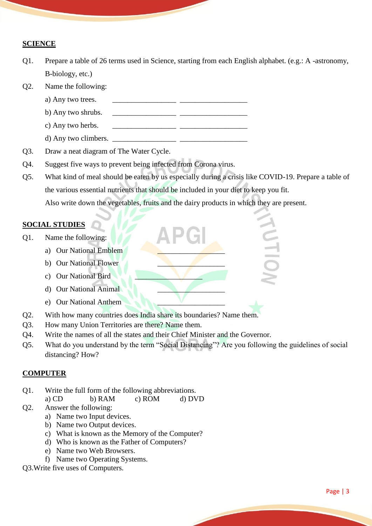### **SCIENCE**

- Q1. Prepare a table of 26 terms used in Science, starting from each English alphabet. (e.g.: A -astronomy, B-biology, etc.)
- Q2. Name the following:
	- a) Any two trees.
	- b) Any two shrubs.
	- c) Any two herbs.  $\qquad \qquad \qquad$
	- d) Any two climbers.
- Q3. Draw a neat diagram of The Water Cycle.
- Q4. Suggest five ways to prevent being infected from Corona virus.
- Q5. What kind of meal should be eaten by us especially during a crisis like COVID-19. Prepare a table of the various essential nutrients that should be included in your diet to keep you fit. Also write down the vegetables, fruits and the dairy products in which they are present.

CH IO

#### **SOCIAL STUDIES**

- Q1. Name the following:
	- a) Our National Emblem
	- b) Our National Flower
	- c) Our National Bird
	- d) Our National Animal \_\_\_\_\_\_\_\_\_\_\_\_\_\_\_\_\_\_
	- e) Our National Anthem
- Q2. With how many countries does India share its boundaries? Name them.
- Q3. How many Union Territories are there? Name them.
- Q4. Write the names of all the states and their Chief Minister and the Governor.
- Q5. What do you understand by the term "Social Distancing"? Are you following the guidelines of social distancing? How?

#### **COMPUTER**

- Q1. Write the full form of the following abbreviations.
	- a) CD b) RAM c) ROM d) DVD
- Q2. Answer the following:
	- a) Name two Input devices.
	- b) Name two Output devices.
	- c) What is known as the Memory of the Computer?
	- d) Who is known as the Father of Computers?
	- e) Name two Web Browsers.
	- f) Name two Operating Systems.
- Q3.Write five uses of Computers.